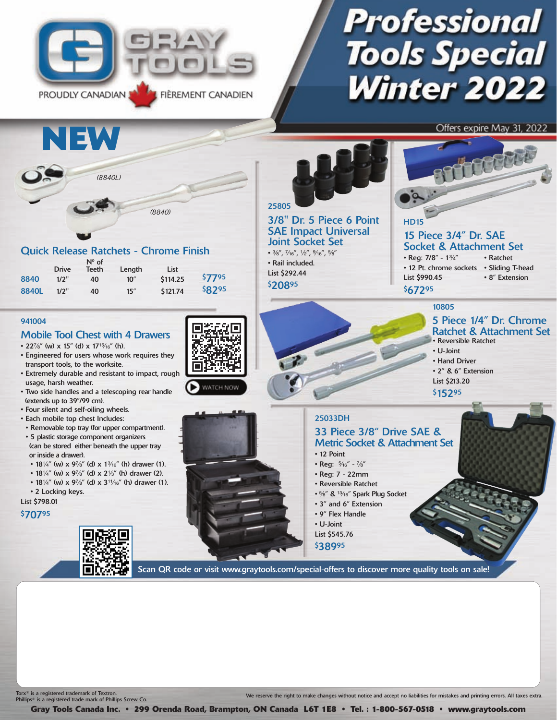

# **Professional Tools Special Winter 2022**

Offers expire May 31, 2022



Tor $x^*$  is a registered trademark of Textron. Phillips® is a registered trade mark of Phillips Screw Co. We reserve the right to make changes without notice and accept no liabilities for mistakes and printing errors. All taxes extra.

**Gray Tools Canada Inc. • 299 Orenda Road, Brampton, ON Canada L6T 1E8 • Tel. : 1-800-567-0518 • www.graytools.com**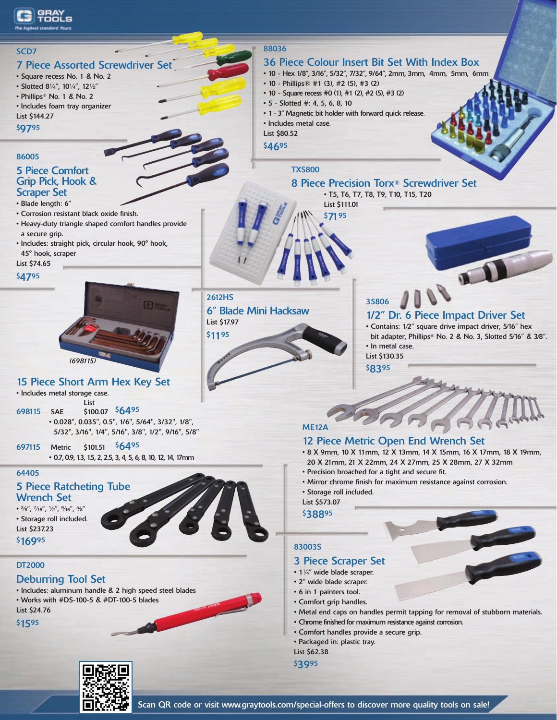



u I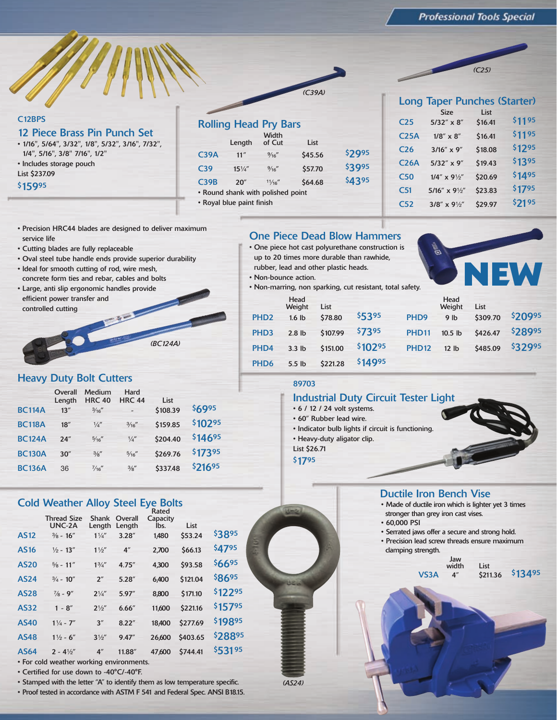*(C25)*

### C12BPS

12 Piece Brass Pin Punch Set • 1/16", 5/64", 3/32", 1/8", 5/32", 3/16", 7/32", 1/4", 5/16", 3/8" 7/16", 1/2" • Includes storage pouch List \$237.09 \$15995

|                 |                           | <b>Rolling Head Pry Bars</b>      |         |        |
|-----------------|---------------------------|-----------------------------------|---------|--------|
|                 | Length                    | Width<br>of Cut                   | List    |        |
| C39A            | 11"                       | $\frac{9}{16}$                    | \$45.56 | \$2995 |
| C <sub>39</sub> | $15\frac{1}{4}$           | $\frac{9}{16}$                    | \$57.70 | \$3995 |
| C39B            | 20''                      | 11/16''                           | \$64.68 | \$4395 |
|                 |                           | • Round shank with polished point |         |        |
|                 | • Royal blue paint finish |                                   |         |        |

|                  | <b>Long Taper Punches (Starter)</b> |         |        |
|------------------|-------------------------------------|---------|--------|
|                  | <b>Size</b>                         | List    |        |
| C25              | $5/32'' \times 8''$                 | \$16.41 | \$1195 |
| C <sub>25A</sub> | $1/8''\times8''$                    | \$16.41 | \$1195 |
| C <sub>26</sub>  | $3/16'' \times 9''$                 | \$18.08 | \$1295 |
| <b>C26A</b>      | 5/32" x 9"                          | \$19.43 | \$1395 |
| C <sub>50</sub>  | $1/4'' \times 9\frac{1}{2}''$       | \$20.69 | \$1495 |
| C <sub>51</sub>  | $5/16'' \times 9\frac{1}{2}''$      | \$23.83 | \$1795 |
| C <sub>52</sub>  | $3/8'' \times 9\frac{1}{2}''$       | \$29.97 | \$2195 |

- Precision HRC44 blades are designed to deliver maximum service life
- Cutting blades are fully replaceable
- Oval steel tube handle ends provide superior durability
- Ideal for smooth cutting of rod, wire mesh, concrete form ties and rebar, cables and bolts
- Large, anti slip ergonomic handles provide efficient power transfer and controlled cutting

### Heavy Duty Bolt Cutters

|               | Overall<br>Length | Medium<br><b>HRC 40</b> | Hard<br><b>HRC 44</b> | List     |         |  |
|---------------|-------------------|-------------------------|-----------------------|----------|---------|--|
| <b>BC114A</b> | 13''              | $\frac{3}{16}$          |                       | \$108.39 | \$6995  |  |
| <b>BC118A</b> | 18''              | $\frac{1}{4}$           | $\frac{3}{16}$        | \$159.85 | \$10295 |  |
| <b>BC124A</b> | 24''              | $\frac{5}{16}$          | $\frac{1}{4}$         | \$204.40 | \$14695 |  |
| <b>BC130A</b> | 30''              | $\frac{3}{8}$ "         | $\frac{5}{16}$        | \$269.76 | \$17395 |  |
| <b>BC136A</b> | 36                | $\frac{7}{16}$          | $\frac{3}{8}$ "       | \$337.48 | \$21695 |  |
|               |                   |                         |                       |          |         |  |

*(BC124A)*

### **Cold Weather Alloy Steel Eye Bolts**

|                                          | <b>Thread Size</b><br>UNC-2A | <b>Shank</b><br>Length | Overall<br>Length  | Rated<br>Capacity<br>lbs. | List     |         |  |  |
|------------------------------------------|------------------------------|------------------------|--------------------|---------------------------|----------|---------|--|--|
| <b>AS12</b>                              | $\frac{3}{8}$ - 16"          | $1\frac{1}{4}$         | 3.28''             | 1,480                     | \$53.24  | \$3895  |  |  |
| <b>AS16</b>                              | $\frac{1}{2}$ - 13"          | $1\frac{1}{2}$         | $4^{\prime\prime}$ | 2,700                     | \$66.13  | \$4795  |  |  |
| <b>AS20</b>                              | $\frac{5}{8}$ - 11"          | $1\frac{3}{4}$ "       | 4.75''             | 4,300                     | \$93.58  | \$6695  |  |  |
| <b>AS24</b>                              | $\frac{3}{4}$ - 10"          | 2 <sup>''</sup>        | 5.28''             | 6,400                     | \$121.04 | \$8695  |  |  |
| <b>AS28</b>                              | $\frac{7}{8}$ - 9"           | $2^{1/4}$              | 5.97"              | 8.800                     | \$171.10 | \$12295 |  |  |
| <b>AS32</b>                              | $1 - 8''$                    | $2^{1/2}$              | 6.66''             | 11,600                    | \$221.16 | \$15795 |  |  |
| <b>AS40</b>                              | $1\frac{1}{4}$ - 7"          | 3''                    | 8.22''             | 18,400                    | \$277.69 | \$19895 |  |  |
| <b>AS48</b>                              | $1\frac{1}{2}$ - 6"          | $3\frac{1}{2}$         | 9.47"              | 26,600                    | \$403.65 | \$28895 |  |  |
| <b>AS64</b>                              | $2 - 4\frac{1}{2}$           | 4 <sup>''</sup>        | 11.88"             | 47,600                    | \$744.41 | \$53195 |  |  |
| • For cold weather working environments. |                              |                        |                    |                           |          |         |  |  |

- 
- Certified for use down to -40°C/-40°F.
- Stamped with the letter "A" to identify them as low temperature specific.

• Proof tested in accordance with ASTM F 541 and Federal Spec. ANSI B18.15.

### One Piece Dead Blow Hammers

- One piece hot cast polyurethane construction is up to 20 times more durable than rawhide,
- rubber, lead and other plastic heads. • Non-bounce action.

*(C39A)*

|                  | rubber, lead and other plastic heads. |          |                                                         |                  |                  |          |         |
|------------------|---------------------------------------|----------|---------------------------------------------------------|------------------|------------------|----------|---------|
|                  | Non-bounce action.                    |          |                                                         |                  |                  | NEW      |         |
|                  |                                       |          | Non-marring, non sparking, cut resistant, total safety. |                  |                  |          |         |
|                  | Head<br>Weight                        | List     |                                                         |                  | Head<br>Weight   | List     |         |
| PHD <sub>2</sub> | 1.6 <sub>1b</sub>                     | \$78.80  | \$5395                                                  | PHD <sub>9</sub> | 9 <sub>lb</sub>  | \$309.70 | \$20995 |
| PHD <sub>3</sub> | $2.8$ lb                              | \$107.99 | \$7395                                                  | <b>PHD11</b>     | 10.5 lb          | \$426.47 | \$28995 |
| PHD <sub>4</sub> | $3.3$ lb                              | \$151.00 | \$10295                                                 | <b>PHD12</b>     | 12 <sub>1b</sub> | \$485.09 | \$32995 |
| PHD <sub>6</sub> | $5.5$ lb                              | \$221.28 | \$14995                                                 |                  |                  |          |         |

### 89703

### Industrial Duty Circuit Tester Light

- 6 / 12 / 24 volt systems.
- 60" Rubber lead wire.
- Indicator bulb lights if circuit is functioning.
- Heavy-duty aligator clip.
- List \$26.71
- \$1795

*(AS24)*

### Ductile Iron Bench Vise

- Made of ductile iron which is lighter yet 3 times stronger than grey iron cast vises.
- 60,000 PSI
	- Serrated jaws offer a secure and strong hold.
- Precision lead screw threads ensure maximum clamping strength.